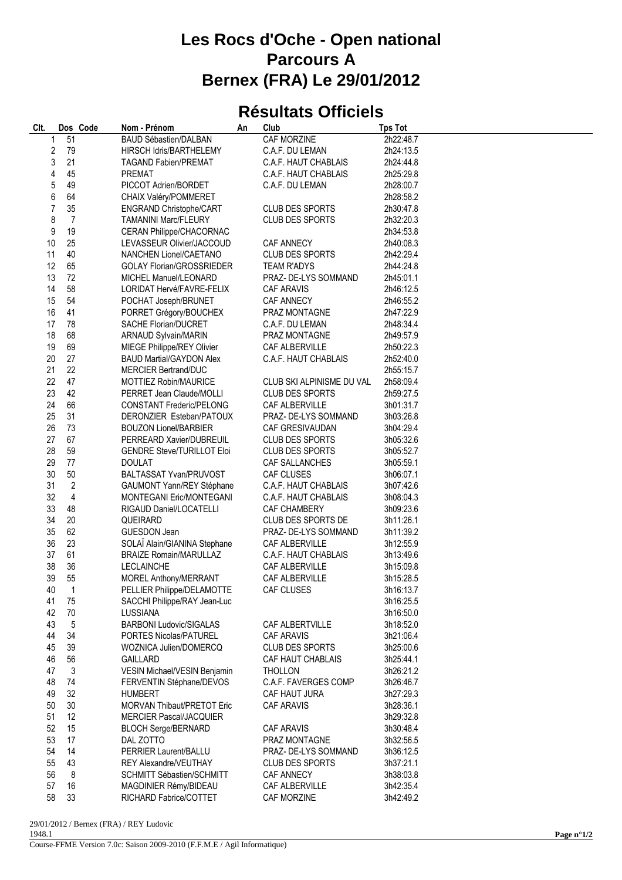## **Les Rocs d'Oche - Open national Parcours A Bernex (FRA) Le 29/01/2012**

## **Résultats Officiels**

| Clt. | Dos Code       | Nom - Prénom                                                | An | Club                                                | <b>Tps Tot</b>         |
|------|----------------|-------------------------------------------------------------|----|-----------------------------------------------------|------------------------|
| 1    | 51             | <b>BAUD Sébastien/DALBAN</b>                                |    | CAF MORZINE                                         | 2h22:48.7              |
| 2    | 79             | HIRSCH Idris/BARTHELEMY                                     |    | C.A.F. DU LEMAN                                     | 2h24:13.5              |
| 3    | 21             | <b>TAGAND Fabien/PREMAT</b>                                 |    | C.A.F. HAUT CHABLAIS                                | 2h24:44.8              |
| 4    | 45             | <b>PREMAT</b>                                               |    | C.A.F. HAUT CHABLAIS                                | 2h25:29.8              |
| 5    | 49             | PICCOT Adrien/BORDET                                        |    | C.A.F. DU LEMAN                                     | 2h28:00.7              |
| 6    | 64             | CHAIX Valéry/POMMERET                                       |    |                                                     | 2h28:58.2              |
| 7    | 35             | ENGRAND Christophe/CART                                     |    | <b>CLUB DES SPORTS</b>                              | 2h30:47.8              |
| 8    | $\overline{7}$ | <b>TAMANINI Marc/FLEURY</b>                                 |    | <b>CLUB DES SPORTS</b>                              | 2h32:20.3              |
| 9    | 19             | CERAN Philippe/CHACORNAC                                    |    |                                                     | 2h34:53.8              |
| 10   | 25             | LEVASSEUR Olivier/JACCOUD                                   |    | CAF ANNECY                                          | 2h40:08.3              |
| 11   | 40             | NANCHEN Lionel/CAETANO                                      |    | <b>CLUB DES SPORTS</b>                              | 2h42:29.4              |
| 12   | 65             | <b>GOLAY Florian/GROSSRIEDER</b>                            |    | <b>TEAM R'ADYS</b>                                  | 2h44:24.8              |
| 13   | 72             | MICHEL Manuel/LEONARD                                       |    | PRAZ- DE-LYS SOMMAND                                | 2h45:01.1              |
| 14   | 58             | LORIDAT Hervé/FAVRE-FELIX                                   |    | CAF ARAVIS                                          | 2h46:12.5              |
| 15   | 54             | POCHAT Joseph/BRUNET                                        |    | CAF ANNECY                                          | 2h46:55.2              |
| 16   | 41             | PORRET Grégory/BOUCHEX                                      |    | PRAZ MONTAGNE                                       | 2h47:22.9              |
| 17   | 78             | SACHE Florian/DUCRET                                        |    | C.A.F. DU LEMAN                                     | 2h48:34.4              |
| 18   | 68             | <b>ARNAUD Sylvain/MARIN</b>                                 |    | PRAZ MONTAGNE                                       | 2h49:57.9              |
| 19   | 69             | MIEGE Philippe/REY Olivier                                  |    | CAF ALBERVILLE                                      | 2h50:22.3              |
| 20   | 27             | <b>BAUD Martial/GAYDON Alex</b>                             |    | C.A.F. HAUT CHABLAIS                                | 2h52:40.0              |
| 21   | 22             | <b>MERCIER Bertrand/DUC</b>                                 |    |                                                     | 2h55:15.7              |
| 22   | 47             | MOTTIEZ Robin/MAURICE                                       |    |                                                     |                        |
| 23   | 42             |                                                             |    | CLUB SKI ALPINISME DU VAL<br><b>CLUB DES SPORTS</b> | 2h58:09.4              |
| 24   | 66             | PERRET Jean Claude/MOLLI                                    |    | <b>CAF ALBERVILLE</b>                               | 2h59:27.5              |
| 25   | 31             | <b>CONSTANT Frederic/PELONG</b><br>DERONZIER Esteban/PATOUX |    | PRAZ- DE-LYS SOMMAND                                | 3h01:31.7              |
| 26   | 73             | <b>BOUZON Lionel/BARBIER</b>                                |    | CAF GRESIVAUDAN                                     | 3h03:26.8<br>3h04:29.4 |
| 27   | 67             | PERREARD Xavier/DUBREUIL                                    |    |                                                     |                        |
| 28   | 59             | <b>GENDRE Steve/TURILLOT Eloi</b>                           |    | CLUB DES SPORTS<br>CLUB DES SPORTS                  | 3h05:32.6<br>3h05:52.7 |
| 29   | 77             | <b>DOULAT</b>                                               |    | CAF SALLANCHES                                      | 3h05:59.1              |
| 30   | 50             | BALTASSAT Yvan/PRUVOST                                      |    | CAF CLUSES                                          | 3h06:07.1              |
| 31   | $\overline{2}$ | GAUMONT Yann/REY Stéphane                                   |    | C.A.F. HAUT CHABLAIS                                | 3h07:42.6              |
| 32   | 4              | MONTEGANI Eric/MONTEGANI                                    |    | C.A.F. HAUT CHABLAIS                                | 3h08:04.3              |
| 33   | 48             | RIGAUD Daniel/LOCATELLI                                     |    | CAF CHAMBERY                                        | 3h09:23.6              |
| 34   | 20             | QUEIRARD                                                    |    | CLUB DES SPORTS DE                                  | 3h11:26.1              |
| 35   | 62             | <b>GUESDON Jean</b>                                         |    | PRAZ- DE-LYS SOMMAND                                | 3h11:39.2              |
| 36   | 23             | SOLAÏ Alain/GIANINA Stephane                                |    | CAF ALBERVILLE                                      | 3h12:55.9              |
| 37   | 61             | <b>BRAIZE Romain/MARULLAZ</b>                               |    | C.A.F. HAUT CHABLAIS                                | 3h13:49.6              |
| 38   | 36             | <b>LECLAINCHE</b>                                           |    | CAF ALBERVILLE                                      | 3h15:09.8              |
| 39   | 55             | <b>MOREL Anthony/MERRANT</b>                                |    | CAF ALBERVILLE                                      | 3h15:28.5              |
| 40   | $\overline{1}$ | PELLIER Philippe/DELAMOTTE                                  |    | CAF CLUSES                                          | 3h16:13.7              |
| 41   | 75             | SACCHI Philippe/RAY Jean-Luc                                |    |                                                     | 3h16:25.5              |
| 42   | 70             | LUSSIANA                                                    |    |                                                     | 3h16:50.0              |
| 43   | 5              | <b>BARBONI Ludovic/SIGALAS</b>                              |    | CAF ALBERTVILLE                                     | 3h18:52.0              |
| 44   | 34             | PORTES Nicolas/PATUREL                                      |    | <b>CAF ARAVIS</b>                                   | 3h21:06.4              |
| 45   | 39             | WOZNICA Julien/DOMERCQ                                      |    | <b>CLUB DES SPORTS</b>                              | 3h25:00.6              |
| 46   | 56             | <b>GAILLARD</b>                                             |    | CAF HAUT CHABLAIS                                   | 3h25:44.1              |
| 47   | 3              | VESIN Michael/VESIN Benjamin                                |    | <b>THOLLON</b>                                      | 3h26:21.2              |
| 48   | 74             | FERVENTIN Stéphane/DEVOS                                    |    | C.A.F. FAVERGES COMP                                | 3h26:46.7              |
| 49   | 32             | <b>HUMBERT</b>                                              |    | CAF HAUT JURA                                       | 3h27:29.3              |
| 50   | 30             | MORVAN Thibaut/PRETOT Eric                                  |    | CAF ARAVIS                                          | 3h28:36.1              |
| 51   | 12             | <b>MERCIER Pascal/JACQUIER</b>                              |    |                                                     | 3h29:32.8              |
| 52   | 15             | <b>BLOCH Serge/BERNARD</b>                                  |    | CAF ARAVIS                                          | 3h30:48.4              |
| 53   | 17             | DAL ZOTTO                                                   |    | PRAZ MONTAGNE                                       | 3h32:56.5              |
| 54   | 14             | PERRIER Laurent/BALLU                                       |    | PRAZ- DE-LYS SOMMAND                                | 3h36:12.5              |
| 55   | 43             | <b>REY Alexandre/VEUTHAY</b>                                |    | <b>CLUB DES SPORTS</b>                              | 3h37:21.1              |
| 56   | 8              | <b>SCHMITT Sébastien/SCHMITT</b>                            |    | <b>CAF ANNECY</b>                                   | 3h38:03.8              |
| 57   | 16             | MAGDINIER Rémy/BIDEAU                                       |    | CAF ALBERVILLE                                      | 3h42:35.4              |
| 58   | 33             | RICHARD Fabrice/COTTET                                      |    | CAF MORZINE                                         | 3h42:49.2              |
|      |                |                                                             |    |                                                     |                        |

29/01/2012 / Bernex (FRA) / REY Ludovic 1948.1